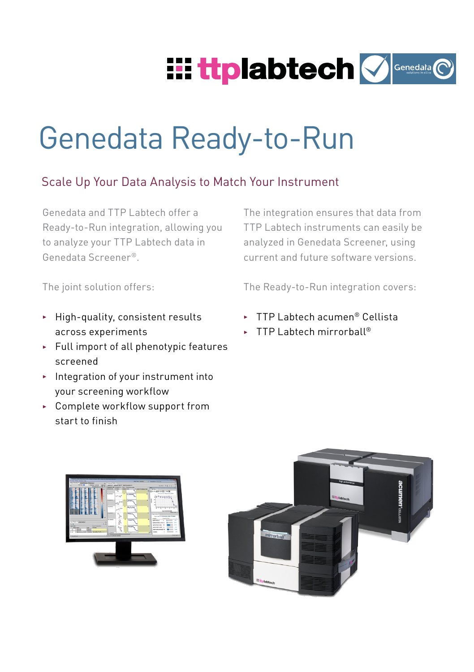

# Genedata Ready-to-Run

## Scale Up Your Data Analysis to Match Your Instrument

Genedata and TTP Labtech offer a Ready-to-Run integration, allowing you to analyze your TTP Labtech data in Genedata Screener®.

The integration ensures that data from TTP Labtech instruments can easily be analyzed in Genedata Screener, using current and future software versions.

The joint solution offers:

The Ready-to-Run integration covers:

- $\blacktriangleright$  High-quality, consistent results across experiments
- $\blacktriangleright$  Full import of all phenotypic features screened
- $\blacktriangleright$  Integration of your instrument into your screening workflow
- ▶ Complete workflow support from start to finish
- ► TTP Labtech acumen<sup>®</sup> Cellista
- $\triangleright$  TTP Labtech mirrorball<sup>®</sup>